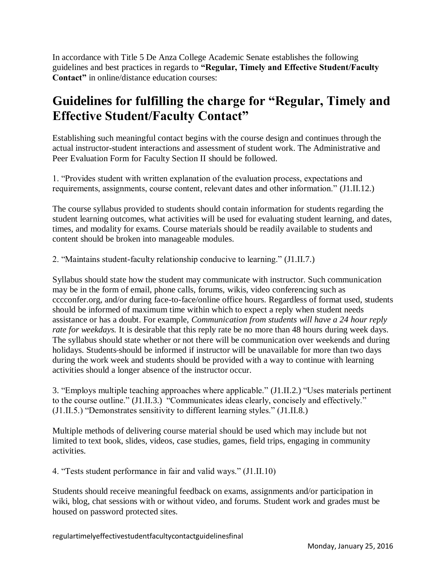In accordance with Title 5 De Anza College Academic Senate establishes the following guidelines and best practices in regards to **"Regular, Timely and Effective Student/Faculty Contact"** in online/distance education courses:

## **Guidelines for fulfilling the charge for "Regular, Timely and Effective Student/Faculty Contact"**

Establishing such meaningful contact begins with the course design and continues through the actual instructor-student interactions and assessment of student work. The Administrative and Peer Evaluation Form for Faculty Section II should be followed.

1. "Provides student with written explanation of the evaluation process, expectations and requirements, assignments, course content, relevant dates and other information." (J1.II.12.)

The course syllabus provided to students should contain information for students regarding the student learning outcomes, what activities will be used for evaluating student learning, and dates, times, and modality for exams. Course materials should be readily available to students and content should be broken into manageable modules.

2. "Maintains student-faculty relationship conducive to learning." (J1.II.7.)

Syllabus should state how the student may communicate with instructor. Such communication may be in the form of email, phone calls, forums, wikis, video conferencing such as cccconfer.org, and/or during face-to-face/online office hours. Regardless of format used, students should be informed of maximum time within which to expect a reply when student needs assistance or has a doubt. For example, *Communication from students will have a 24 hour reply rate for weekdays.* It is desirable that this reply rate be no more than 48 hours during week days. The syllabus should state whether or not there will be communication over weekends and during holidays. Students-should be informed if instructor will be unavailable for more than two days during the work week and students should be provided with a way to continue with learning activities should a longer absence of the instructor occur.

3. "Employs multiple teaching approaches where applicable." (J1.II.2.) "Uses materials pertinent to the course outline." (J1.II.3.) "Communicates ideas clearly, concisely and effectively." (J1.II.5.) "Demonstrates sensitivity to different learning styles." (J1.II.8.)

Multiple methods of delivering course material should be used which may include but not limited to text book, slides, videos, case studies, games, field trips, engaging in community activities.

4. "Tests student performance in fair and valid ways." (J1.II.10)

Students should receive meaningful feedback on exams, assignments and/or participation in wiki, blog, chat sessions with or without video, and forums. Student work and grades must be housed on password protected sites.